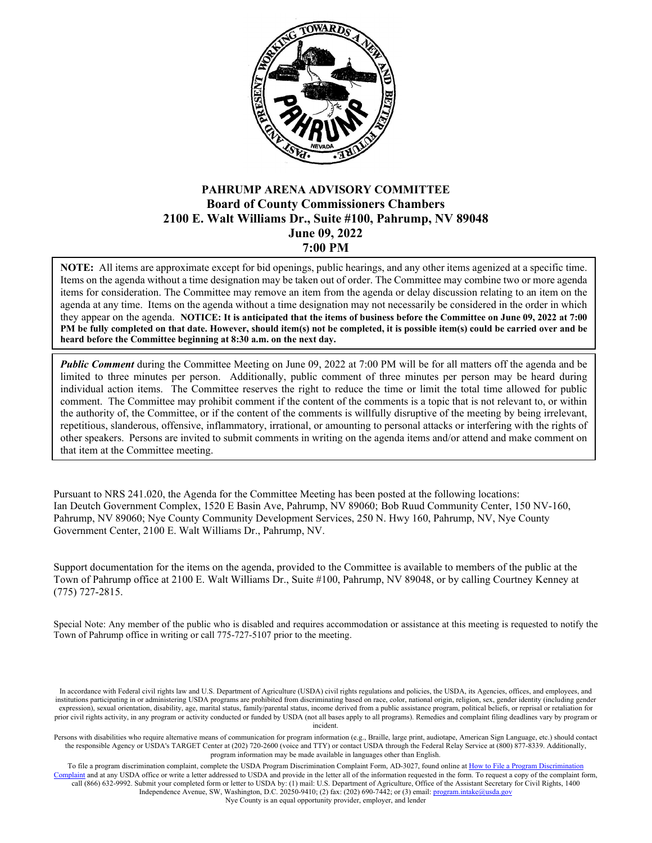

## **PAHRUMP ARENA ADVISORY COMMITTEE Board of County Commissioners Chambers 2100 E. Walt Williams Dr., Suite #100, Pahrump, NV 89048 June 09, 2022 7:00 PM**

**NOTE:** All items are approximate except for bid openings, public hearings, and any other items agenized at a specific time. Items on the agenda without a time designation may be taken out of order. The Committee may combine two or more agenda items for consideration. The Committee may remove an item from the agenda or delay discussion relating to an item on the agenda at any time. Items on the agenda without a time designation may not necessarily be considered in the order in which they appear on the agenda. **NOTICE: It is anticipated that the items of business before the Committee on June 09, 2022 at 7:00 PM be fully completed on that date. However, should item(s) not be completed, it is possible item(s) could be carried over and be heard before the Committee beginning at 8:30 a.m. on the next day.**

*Public Comment* during the Committee Meeting on June 09, 2022 at 7:00 PM will be for all matters off the agenda and be limited to three minutes per person. Additionally, public comment of three minutes per person may be heard during individual action items. The Committee reserves the right to reduce the time or limit the total time allowed for public comment. The Committee may prohibit comment if the content of the comments is a topic that is not relevant to, or within the authority of, the Committee, or if the content of the comments is willfully disruptive of the meeting by being irrelevant, repetitious, slanderous, offensive, inflammatory, irrational, or amounting to personal attacks or interfering with the rights of other speakers. Persons are invited to submit comments in writing on the agenda items and/or attend and make comment on that item at the Committee meeting.

Pursuant to NRS 241.020, the Agenda for the Committee Meeting has been posted at the following locations: Ian Deutch Government Complex, 1520 E Basin Ave, Pahrump, NV 89060; Bob Ruud Community Center, 150 NV-160, Pahrump, NV 89060; Nye County Community Development Services, 250 N. Hwy 160, Pahrump, NV, Nye County Government Center, 2100 E. Walt Williams Dr., Pahrump, NV.

Support documentation for the items on the agenda, provided to the Committee is available to members of the public at the Town of Pahrump office at 2100 E. Walt Williams Dr., Suite #100, Pahrump, NV 89048, or by calling Courtney Kenney at (775) 727-2815.

Special Note: Any member of the public who is disabled and requires accommodation or assistance at this meeting is requested to notify the Town of Pahrump office in writing or call 775-727-5107 prior to the meeting.

In accordance with Federal civil rights law and U.S. Department of Agriculture (USDA) civil rights regulations and policies, the USDA, its Agencies, offices, and employees, and institutions participating in or administering USDA programs are prohibited from discriminating based on race, color, national origin, religion, sex, gender identity (including gender expression), sexual orientation, disability, age, marital status, family/parental status, income derived from a public assistance program, political beliefs, or reprisal or retaliation for prior civil rights activity, in any program or activity conducted or funded by USDA (not all bases apply to all programs). Remedies and complaint filing deadlines vary by program or incident.

Persons with disabilities who require alternative means of communication for program information (e.g., Braille, large print, audiotape, American Sign Language, etc.) should contact the responsible Agency or USDA's TARGET Center at (202) 720-2600 (voice and TTY) or contact USDA through the Federal Relay Service at (800) 877-8339. Additionally, program information may be made available in languages other than English.

To file a program discrimination complaint, complete the USDA Program Discrimination Complaint Form, AD-3027, found online at How to File a Program Discrimination aplaint and at any USDA office or write a letter addressed to USDA and provide in the letter all of the information requested in the form. To request a copy of the complaint form, call (866) 632-9992. Submit your completed form or letter to USDA by: (1) mail: U.S. Department of Agriculture, Office of the Assistant Secretary for Civil Rights, 1400 Independence Avenue, SW, Washington, D.C. 20250-9410; (2) fax: (202) 690-7442; or (3) email[: program.intake@usda.gov](mailto:program.intake@usda.gov) Nye County is an equal opportunity provider, employer, and lender